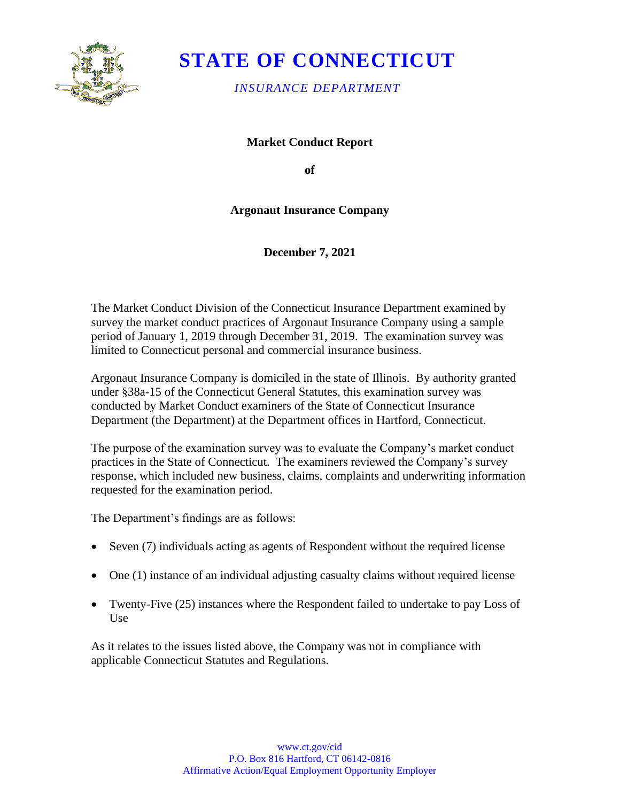

# **STATE OF CONNECTICUT**

*INSURANCE DEPARTMENT* 

**Market Conduct Report** 

**of** 

## **Argonaut Insurance Company**

**December 7, 2021** 

The Market Conduct Division of the Connecticut Insurance Department examined by survey the market conduct practices of Argonaut Insurance Company using a sample period of January 1, 2019 through December 31, 2019. The examination survey was limited to Connecticut personal and commercial insurance business.

Argonaut Insurance Company is domiciled in the state of Illinois. By authority granted under §38a-15 of the Connecticut General Statutes, this examination survey was conducted by Market Conduct examiners of the State of Connecticut Insurance Department (the Department) at the Department offices in Hartford, Connecticut.

The purpose of the examination survey was to evaluate the Company's market conduct practices in the State of Connecticut. The examiners reviewed the Company's survey response, which included new business, claims, complaints and underwriting information requested for the examination period.

The Department's findings are as follows:

- Seven (7) individuals acting as agents of Respondent without the required license
- One (1) instance of an individual adjusting casualty claims without required license
- Twenty-Five (25) instances where the Respondent failed to undertake to pay Loss of Use

As it relates to the issues listed above, the Company was not in compliance with applicable Connecticut Statutes and Regulations.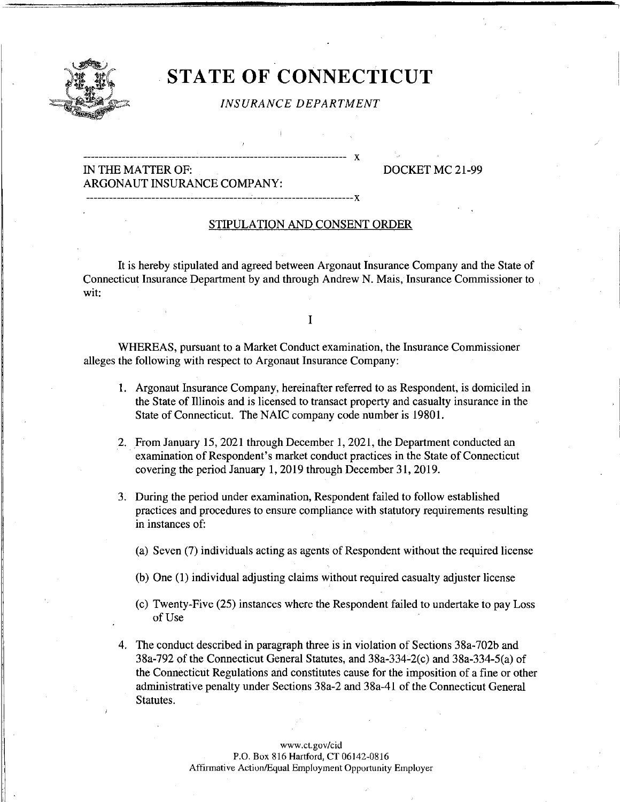

## **STATE OF CONNECTICUT**

#### *INSURANCE DEPARTMENT*

## IN THE MA TIER OF: DOCKET MC 21-99 ARGONAUT INSURANCE COMPANY:

-------------------------------------------------------------------- X

---------------------------------------------------------------------x

#### STIPULATION AND CONSENT ORDER

It is hereby stipulated and agreed between Argonaut Insurance Company and the State of Connecticut Insurance Department by and through Andrew N. Mais, Insurance Commissioner to wit:

I

WHEREAS, pursuant to a Market Conduct examination, the Insurance Commissioner alleges the following with respect to Argonaut Insurance Company:

- 1. Argonaut Insurance Company, hereinafter referred to as Respondent, is domiciled in the State of Illinois and is licensed to transact property and casualty insurance in the State of Connecticut. The NAIC company code number is 19801.
- 2. From January 15, 2021 through December 1, 2021, the Department conducted an examination of Respondent's market conduct practices in the State of Connecticut covering the period January 1, 2019 through December 31, 2019.
- 3. During the period under examination, Respondent failed to follow established practices and procedures to ensure compliance with statutory requirements resulting in instances of:
	- (a) Seven (7) individuals acting as agents of Respondent without the required license
	- (b) One (1) individual adjusting claims without required casualty adjuster license
	- (c) Twenty-Five (25) instances where the Respondent failed to undertake to pay Loss of Use
- 4. The conduct described in paragraph three is in violation of Sections 38a-702b and 38a-792 of the Connecticut General Statutes, and 38a-334-2(c) and 38a-334-5(a) of the Connecticut Regulations and constitutes cause for the imposition of a fine or other administrative penalty under Sections 38a-2 and 38a-41 of the Connecticut General Statutes.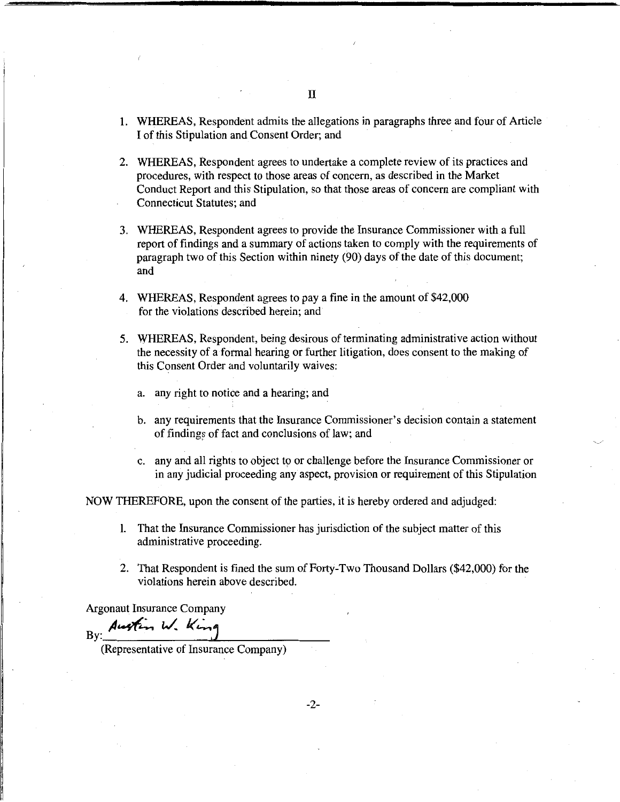- 1. WHEREAS, Respondent admits the allegations in paragraphs three and four of Article I of this Stipulation and Consent Order; and
- 2. WHEREAS, Respondent agrees to undertake a complete review of its practices and procedures, with respect to those areas of concern, as described in the Market Conduct Report and this Stipulation, so that those areas of concern are compliant with Connecticut Statutes; and
- 3. WHEREAS, Respondent agrees to provide the Insurance Commissioner with a full report of findings and a summary of actions taken to comply with the requirements of paragraph two of this Section within ninety (90) days of the date of this document; and
- 4. WHEREAS, Respondent agrees to pay a fine in the amount of \$42,000 for the violations described herein; and
- 5. WHEREAS, Respondent, being desirous of terminating administrative action without the necessity of a formal hearing or further litigation, does consent to the making of this Consent Order and voluntarily waives:
	- a. any right to notice and a hearing; and
	- b. any requirements that the Insurance Commissioner's decision contain a statement of findings of fact and conclusions of law; and
	- c. any and all rights to object to or challenge before the Insurance Commissioner or in any judicial proceeding any aspect, provision or requirement of this Stipulation

NOW THEREFORE, upon the consent of the parties, it is hereby ordered and adjudged:

- 1. That the Insurance Commissioner has jurisdiction of the subject matter of this administrative proceeding.
- 2. That Respondent is fined the sum of Forty-Two Thousand Dollars (\$42,000) for the violations herein above described.

Argonaut Insurance Company

By: Austin W. King

(Representative of Insurance Company)

-2-